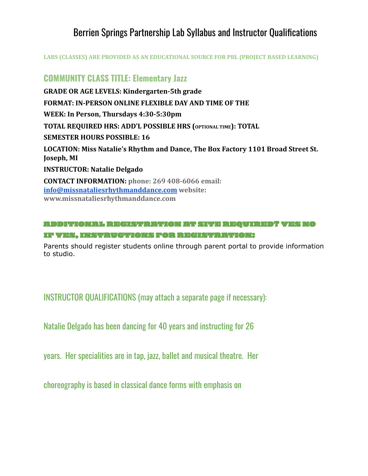# Berrien Springs Partnership Lab Syllabus and Instructor Qualifications

**LABS (CLASSES) ARE PROVIDED AS AN EDUCATIONAL SOURCE FOR PBL (PROJECT BASED LEARNING)**

## **COMMUNITY CLASS TITLE: Elementary Jazz**

**GRADE OR AGE LEVELS: Kindergarten-5th grade FORMAT: IN-PERSON ONLINE FLEXIBLE DAY AND TIME OF THE WEEK: In Person, Thursdays 4:30-5:30pm TOTAL REQUIRED HRS: ADD'L POSSIBLE HRS (OPTIONAL TIME): TOTAL SEMESTER HOURS POSSIBLE: 16 LOCATION: Miss Natalie's Rhythm and Dance, The Box Factory 1101 Broad Street St. Joseph, MI INSTRUCTOR: Natalie Delgado CONTACT INFORMATION: phone: 269 408-6066 email: [info@missnataliesrhythmanddance.com](mailto:info@missnataliesrhythmanddance.com) website: www.missnataliesrhythmanddance.com**

#### ADDITIONAL REGISTRATION AT SITE REQUIRED? YES NO IF YES, INSTRUCTIONS FOR REGISTRATION:

Parents should register students online through parent portal to provide information to studio.

INSTRUCTOR QUALIFICATIONS (may attach a separate page if necessary):

Natalie Delgado has been dancing for 40 years and instructing for 26

years. Her specialities are in tap, jazz, ballet and musical theatre. Her

choreography is based in classical dance forms with emphasis on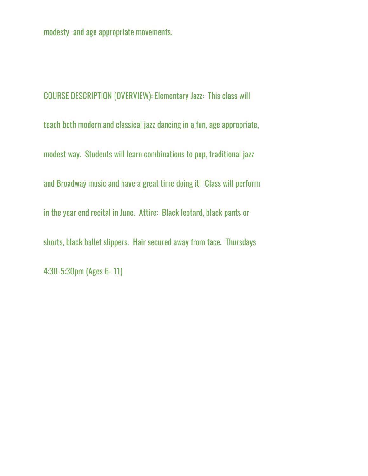modesty and age appropriate movements.

COURSE DESCRIPTION (OVERVIEW): Elementary Jazz: This class will teach both modern and classical jazz dancing in a fun, age appropriate, modest way. Students will learn combinations to pop, traditional jazz and Broadway music and have a great time doing it! Class will perform in the year end recital in June. Attire: Black leotard, black pants or shorts, black ballet slippers. Hair secured away from face. Thursdays 4:30-5:30pm (Ages 6- 11)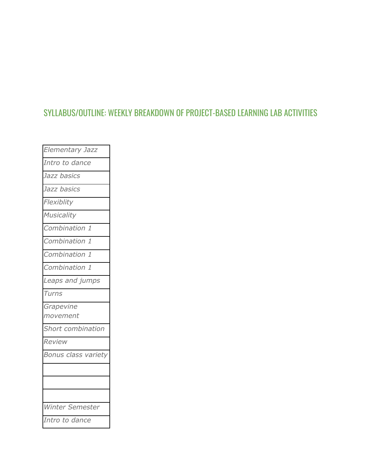# SYLLABUS/OUTLINE: WEEKLY BREAKDOWN OF PROJECT-BASED LEARNING LAB ACTIVITIES

| Elementary Jazz     |
|---------------------|
| Intro to dance      |
| Jazz basics         |
| Jazz basics         |
| Flexiblity          |
| Musicality          |
| Combination 1       |
| Combination 1       |
| Combination 1       |
| Combination 1       |
| Leaps and jumps     |
| Turns               |
| Grapevine           |
| movement            |
| Short combination   |
| Review              |
| Bonus class variety |
|                     |
|                     |
|                     |
| Winter Semester     |
| Intro to dance      |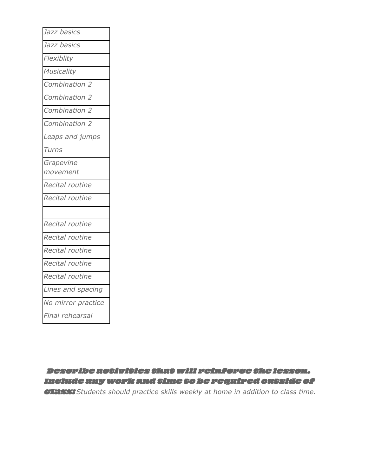| Jazz basics        |
|--------------------|
| Jazz basics        |
| Flexiblity         |
| Musicality         |
| Combination 2      |
| Combination 2      |
| Combination 2      |
| Combination 2      |
| Leaps and jumps    |
| Turns              |
| Grapevine          |
| movement           |
| Recital routine    |
| Recital routine    |
|                    |
| Recital routine    |
| Recital routine    |
| Recital routine    |
| Recital routine    |
| Recital routine    |
| Lines and spacing  |
| No mirror practice |
| inal rehearsal     |
|                    |

Describe activities thatwill reinforce the lesson. Include anywork and time to be required outside of class: *Students should practice skills weekly at home in addition to class time.*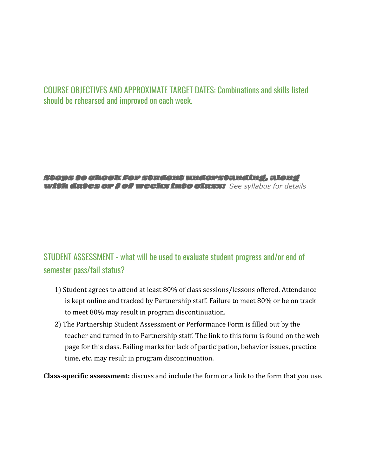### COURSE OBJECTIVES AND APPROXIMATE TARGET DATES: Combinations and skills listed should be rehearsed and improved on each week.

#### Steps to check for student understanding, along with dates or # ofweeks into class: *See syllabus for details*

# STUDENT ASSESSMENT - what will be used to evaluate student progress and/or end of semester pass/fail status?

- 1) Student agrees to attend at least 80% of class sessions/lessons offered. Attendance is kept online and tracked by Partnership staff. Failure to meet 80% or be on track to meet 80% may result in program discontinuation.
- 2) The Partnership Student Assessment or Performance Form is filled out by the teacher and turned in to Partnership staff. The link to this form is found on the web page for this class. Failing marks for lack of participation, behavior issues, practice time, etc. may result in program discontinuation.

**Class-specific assessment:** discuss and include the form or a link to the form that you use.